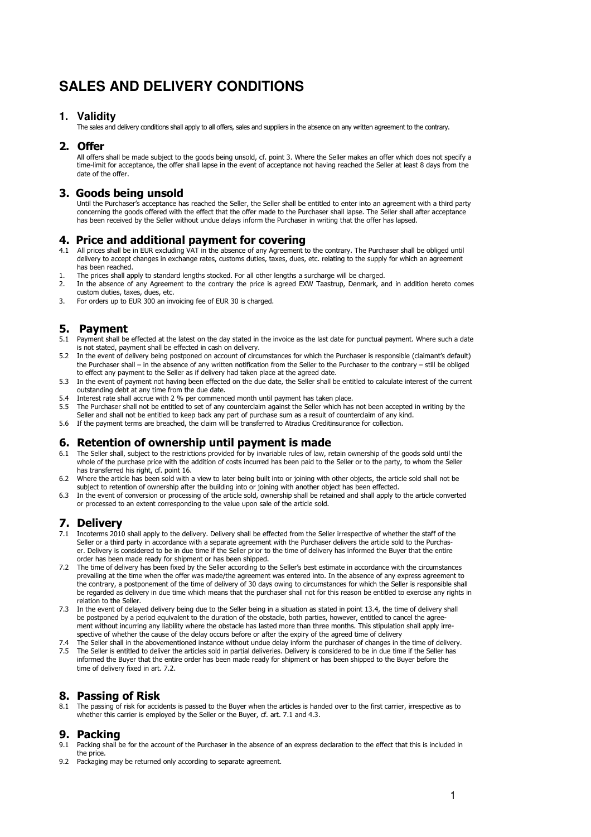# **SALES AND DELIVERY CONDITIONS**

#### **1. Validity**

The sales and delivery conditions shall apply to all offers, sales and suppliers in the absence on any written agreement to the contrary.

#### 2. Offer

All offers shall be made subject to the goods being unsold, cf. point 3. Where the Seller makes an offer which does not specify a time-limit for acceptance, the offer shall lapse in the event of acceptance not having reached the Seller at least 8 days from the date of the offer.

## 3. Goods being unsold

Until the Purchaser's acceptance has reached the Seller, the Seller shall be entitled to enter into an agreement with a third party concerning the goods offered with the effect that the offer made to the Purchaser shall lapse. The Seller shall after acceptance has been received by the Seller without undue delays inform the Purchaser in writing that the offer has lapsed.

#### 4. Price and additional payment for covering

- 4.1 All prices shall be in EUR excluding VAT in the absence of any Agreement to the contrary. The Purchaser shall be obliged until delivery to accept changes in exchange rates, customs duties, taxes, dues, etc. relating to the supply for which an agreement has been reached.
- 1. The prices shall apply to standard lengths stocked. For all other lengths a surcharge will be charged.<br>2. In the absence of any Agreement to the contrary the price is agreed FXW Taastrup. Denmark and
- 2. In the absence of any Agreement to the contrary the price is agreed EXW Taastrup, Denmark, and in addition hereto comes custom duties, taxes, dues, etc.
- 3. For orders up to EUR 300 an invoicing fee of EUR 30 is charged.

## 5. Payment

- 5.1 Payment shall be effected at the latest on the day stated in the invoice as the last date for punctual payment. Where such a date is not stated, payment shall be effected in cash on delivery.
- 5.2 In the event of delivery being postponed on account of circumstances for which the Purchaser is responsible (claimant's default) the Purchaser shall – in the absence of any written notification from the Seller to the Purchaser to the contrary – still be obliged to effect any payment to the Seller as if delivery had taken place at the agreed date.
- 5.3 In the event of payment not having been effected on the due date, the Seller shall be entitled to calculate interest of the current outstanding debt at any time from the due date.
- 5.4 Interest rate shall accrue with 2 % per commenced month until payment has taken place.<br>5.5 The Purchaser shall not be entitled to set of any counterclaim against the Seller which has
- The Purchaser shall not be entitled to set of any counterclaim against the Seller which has not been accepted in writing by the Seller and shall not be entitled to keep back any part of purchase sum as a result of counterclaim of any kind.
- 5.6 If the payment terms are breached, the claim will be transferred to Atradius Creditinsurance for collection.

# 6. Retention of ownership until payment is made

- 6.1 The Seller shall, subject to the restrictions provided for by invariable rules of law, retain ownership of the goods sold until the whole of the purchase price with the addition of costs incurred has been paid to the Seller or to the party, to whom the Seller has transferred his right, cf. point 16.
- 6.2 Where the article has been sold with a view to later being built into or joining with other objects, the article sold shall not be subject to retention of ownership after the building into or joining with another object has been effected.
- 6.3 In the event of conversion or processing of the article sold, ownership shall be retained and shall apply to the article converted or processed to an extent corresponding to the value upon sale of the article sold.

#### 7. Delivery

- 7.1 Incoterms 2010 shall apply to the delivery. Delivery shall be effected from the Seller irrespective of whether the staff of the Seller or a third party in accordance with a separate agreement with the Purchaser delivers the article sold to the Purchaser. Delivery is considered to be in due time if the Seller prior to the time of delivery has informed the Buyer that the entire order has been made ready for shipment or has been shipped.
- 7.2 The time of delivery has been fixed by the Seller according to the Seller's best estimate in accordance with the circumstances prevailing at the time when the offer was made/the agreement was entered into. In the absence of any express agreement to the contrary, a postponement of the time of delivery of 30 days owing to circumstances for which the Seller is responsible shall be regarded as delivery in due time which means that the purchaser shall not for this reason be entitled to exercise any rights in relation to the Seller.
- 7.3 In the event of delayed delivery being due to the Seller being in a situation as stated in point 13.4, the time of delivery shall be postponed by a period equivalent to the duration of the obstacle, both parties, however, entitled to cancel the agreement without incurring any liability where the obstacle has lasted more than three months. This stipulation shall apply irrespective of whether the cause of the delay occurs before or after the expiry of the agreed time of delivery
- 7.4 The Seller shall in the abovementioned instance without undue delay inform the purchaser of changes in the time of delivery. 7.5 The Seller is entitled to deliver the articles sold in partial deliveries. Delivery is considered to be in due time if the Seller has
- informed the Buyer that the entire order has been made ready for shipment or has been shipped to the Buyer before the time of delivery fixed in art. 7.2.

## 8. Passing of Risk

8.1 The passing of risk for accidents is passed to the Buyer when the articles is handed over to the first carrier, irrespective as to whether this carrier is employed by the Seller or the Buyer, cf. art. 7.1 and 4.3.

#### 9. Packing

- 9.1 Packing shall be for the account of the Purchaser in the absence of an express declaration to the effect that this is included in the price.
- 9.2 Packaging may be returned only according to separate agreement.